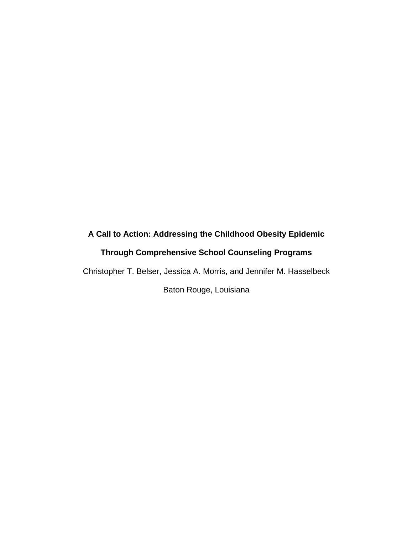# **A Call to Action: Addressing the Childhood Obesity Epidemic**

# **Through Comprehensive School Counseling Programs**

Christopher T. Belser, Jessica A. Morris, and Jennifer M. Hasselbeck

Baton Rouge, Louisiana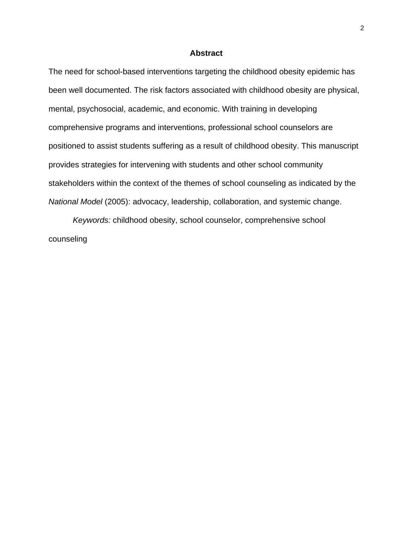### **Abstract**

The need for school-based interventions targeting the childhood obesity epidemic has been well documented. The risk factors associated with childhood obesity are physical, mental, psychosocial, academic, and economic. With training in developing comprehensive programs and interventions, professional school counselors are positioned to assist students suffering as a result of childhood obesity. This manuscript provides strategies for intervening with students and other school community stakeholders within the context of the themes of school counseling as indicated by the *National Model* (2005): advocacy, leadership, collaboration, and systemic change.

*Keywords:* childhood obesity, school counselor, comprehensive school counseling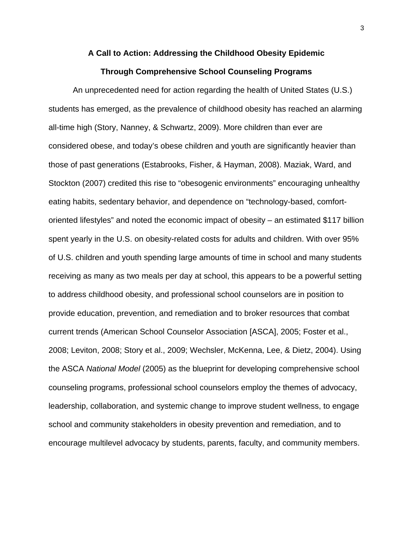#### **A Call to Action: Addressing the Childhood Obesity Epidemic**

## **Through Comprehensive School Counseling Programs**

An unprecedented need for action regarding the health of United States (U.S.) students has emerged, as the prevalence of childhood obesity has reached an alarming all-time high (Story, Nanney, & Schwartz, 2009). More children than ever are considered obese, and today's obese children and youth are significantly heavier than those of past generations (Estabrooks, Fisher, & Hayman, 2008). Maziak, Ward, and Stockton (2007) credited this rise to "obesogenic environments" encouraging unhealthy eating habits, sedentary behavior, and dependence on "technology-based, comfortoriented lifestyles" and noted the economic impact of obesity – an estimated \$117 billion spent yearly in the U.S. on obesity-related costs for adults and children. With over 95% of U.S. children and youth spending large amounts of time in school and many students receiving as many as two meals per day at school, this appears to be a powerful setting to address childhood obesity, and professional school counselors are in position to provide education, prevention, and remediation and to broker resources that combat current trends (American School Counselor Association [ASCA], 2005; Foster et al., 2008; Leviton, 2008; Story et al., 2009; Wechsler, McKenna, Lee, & Dietz, 2004). Using the ASCA *National Model* (2005) as the blueprint for developing comprehensive school counseling programs, professional school counselors employ the themes of advocacy, leadership, collaboration, and systemic change to improve student wellness, to engage school and community stakeholders in obesity prevention and remediation, and to encourage multilevel advocacy by students, parents, faculty, and community members.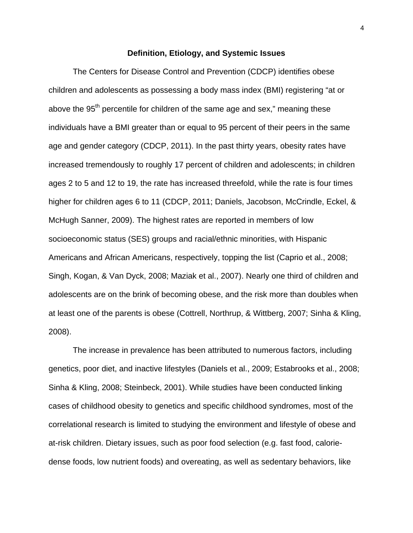## **Definition, Etiology, and Systemic Issues**

The Centers for Disease Control and Prevention (CDCP) identifies obese children and adolescents as possessing a body mass index (BMI) registering "at or above the 95<sup>th</sup> percentile for children of the same age and sex," meaning these individuals have a BMI greater than or equal to 95 percent of their peers in the same age and gender category (CDCP, 2011). In the past thirty years, obesity rates have increased tremendously to roughly 17 percent of children and adolescents; in children ages 2 to 5 and 12 to 19, the rate has increased threefold, while the rate is four times higher for children ages 6 to 11 (CDCP, 2011; Daniels, Jacobson, McCrindle, Eckel, & McHugh Sanner, 2009). The highest rates are reported in members of low socioeconomic status (SES) groups and racial/ethnic minorities, with Hispanic Americans and African Americans, respectively, topping the list (Caprio et al., 2008; Singh, Kogan, & Van Dyck, 2008; Maziak et al., 2007). Nearly one third of children and adolescents are on the brink of becoming obese, and the risk more than doubles when at least one of the parents is obese (Cottrell, Northrup, & Wittberg, 2007; Sinha & Kling, 2008).

The increase in prevalence has been attributed to numerous factors, including genetics, poor diet, and inactive lifestyles (Daniels et al., 2009; Estabrooks et al., 2008; Sinha & Kling, 2008; Steinbeck, 2001). While studies have been conducted linking cases of childhood obesity to genetics and specific childhood syndromes, most of the correlational research is limited to studying the environment and lifestyle of obese and at-risk children. Dietary issues, such as poor food selection (e.g. fast food, caloriedense foods, low nutrient foods) and overeating, as well as sedentary behaviors, like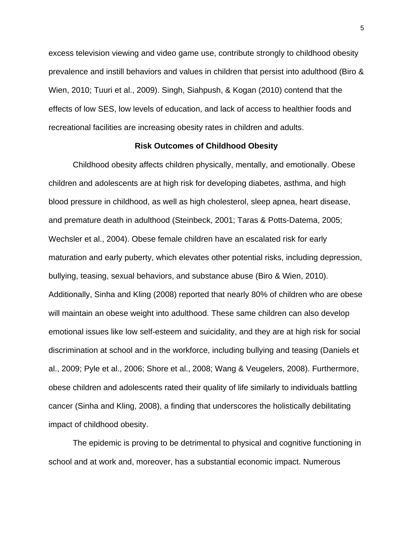excess television viewing and video game use, contribute strongly to childhood obesity prevalence and instill behaviors and values in children that persist into adulthood (Biro & Wien, 2010; Tuuri et al., 2009). Singh, Siahpush, & Kogan (2010) contend that the effects of low SES, low levels of education, and lack of access to healthier foods and recreational facilities are increasing obesity rates in children and adults.

#### **Risk Outcomes of Childhood Obesity**

Childhood obesity affects children physically, mentally, and emotionally. Obese children and adolescents are at high risk for developing diabetes, asthma, and high blood pressure in childhood, as well as high cholesterol, sleep apnea, heart disease, and premature death in adulthood (Steinbeck, 2001; Taras & Potts-Datema, 2005; Wechsler et al., 2004). Obese female children have an escalated risk for early maturation and early puberty, which elevates other potential risks, including depression, bullying, teasing, sexual behaviors, and substance abuse (Biro & Wien, 2010). Additionally, Sinha and Kling (2008) reported that nearly 80% of children who are obese will maintain an obese weight into adulthood. These same children can also develop emotional issues like low self-esteem and suicidality, and they are at high risk for social discrimination at school and in the workforce, including bullying and teasing (Daniels et al., 2009; Pyle et al., 2006; Shore et al., 2008; Wang & Veugelers, 2008). Furthermore, obese children and adolescents rated their quality of life similarly to individuals battling cancer (Sinha and Kling, 2008), a finding that underscores the holistically debilitating impact of childhood obesity.

The epidemic is proving to be detrimental to physical and cognitive functioning in school and at work and, moreover, has a substantial economic impact. Numerous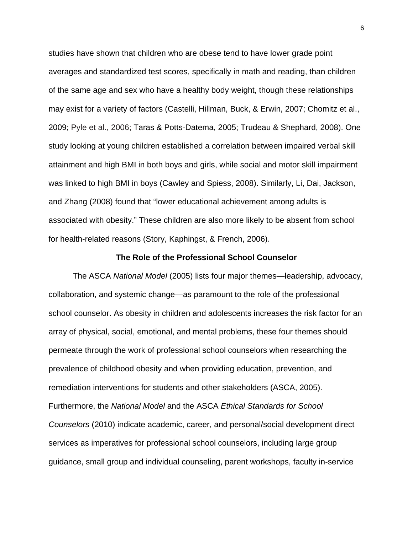studies have shown that children who are obese tend to have lower grade point averages and standardized test scores, specifically in math and reading, than children of the same age and sex who have a healthy body weight, though these relationships may exist for a variety of factors (Castelli, Hillman, Buck, & Erwin, 2007; Chomitz et al., 2009; Pyle et al., 2006; Taras & Potts-Datema, 2005; Trudeau & Shephard, 2008). One study looking at young children established a correlation between impaired verbal skill attainment and high BMI in both boys and girls, while social and motor skill impairment was linked to high BMI in boys (Cawley and Spiess, 2008). Similarly, Li, Dai, Jackson, and Zhang (2008) found that "lower educational achievement among adults is associated with obesity." These children are also more likely to be absent from school for health-related reasons (Story, Kaphingst, & French, 2006).

#### **The Role of the Professional School Counselor**

The ASCA *National Model* (2005) lists four major themes—leadership, advocacy, collaboration, and systemic change—as paramount to the role of the professional school counselor. As obesity in children and adolescents increases the risk factor for an array of physical, social, emotional, and mental problems, these four themes should permeate through the work of professional school counselors when researching the prevalence of childhood obesity and when providing education, prevention, and remediation interventions for students and other stakeholders (ASCA, 2005). Furthermore, the *National Model* and the ASCA *Ethical Standards for School Counselors* (2010) indicate academic, career, and personal/social development direct services as imperatives for professional school counselors, including large group guidance, small group and individual counseling, parent workshops, faculty in-service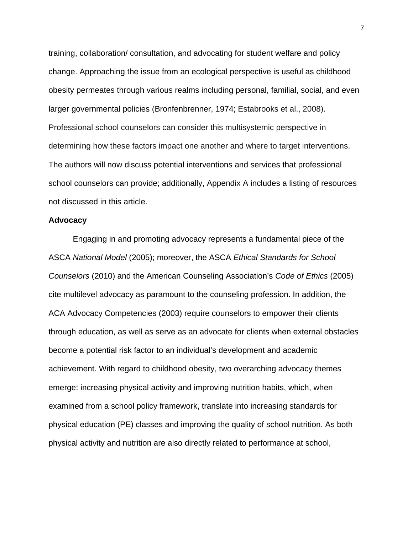training, collaboration/ consultation, and advocating for student welfare and policy change. Approaching the issue from an ecological perspective is useful as childhood obesity permeates through various realms including personal, familial, social, and even larger governmental policies (Bronfenbrenner, 1974; Estabrooks et al., 2008). Professional school counselors can consider this multisystemic perspective in determining how these factors impact one another and where to target interventions. The authors will now discuss potential interventions and services that professional school counselors can provide; additionally, Appendix A includes a listing of resources not discussed in this article.

#### **Advocacy**

Engaging in and promoting advocacy represents a fundamental piece of the ASCA *National Model* (2005); moreover, the ASCA *Ethical Standards for School Counselors* (2010) and the American Counseling Association's *Code of Ethics* (2005) cite multilevel advocacy as paramount to the counseling profession. In addition, the ACA Advocacy Competencies (2003) require counselors to empower their clients through education, as well as serve as an advocate for clients when external obstacles become a potential risk factor to an individual's development and academic achievement. With regard to childhood obesity, two overarching advocacy themes emerge: increasing physical activity and improving nutrition habits, which, when examined from a school policy framework, translate into increasing standards for physical education (PE) classes and improving the quality of school nutrition. As both physical activity and nutrition are also directly related to performance at school,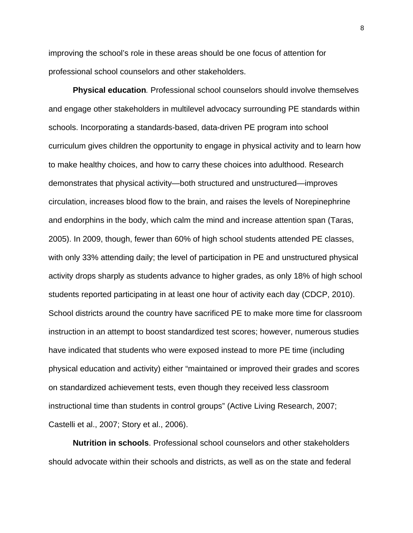improving the school's role in these areas should be one focus of attention for professional school counselors and other stakeholders.

**Physical education***.* Professional school counselors should involve themselves and engage other stakeholders in multilevel advocacy surrounding PE standards within schools. Incorporating a standards-based, data-driven PE program into school curriculum gives children the opportunity to engage in physical activity and to learn how to make healthy choices, and how to carry these choices into adulthood. Research demonstrates that physical activity—both structured and unstructured—improves circulation, increases blood flow to the brain, and raises the levels of Norepinephrine and endorphins in the body, which calm the mind and increase attention span (Taras, 2005). In 2009, though, fewer than 60% of high school students attended PE classes, with only 33% attending daily; the level of participation in PE and unstructured physical activity drops sharply as students advance to higher grades, as only 18% of high school students reported participating in at least one hour of activity each day (CDCP, 2010). School districts around the country have sacrificed PE to make more time for classroom instruction in an attempt to boost standardized test scores; however, numerous studies have indicated that students who were exposed instead to more PE time (including physical education and activity) either "maintained or improved their grades and scores on standardized achievement tests, even though they received less classroom instructional time than students in control groups" (Active Living Research, 2007; Castelli et al., 2007; Story et al., 2006).

**Nutrition in schools**. Professional school counselors and other stakeholders should advocate within their schools and districts, as well as on the state and federal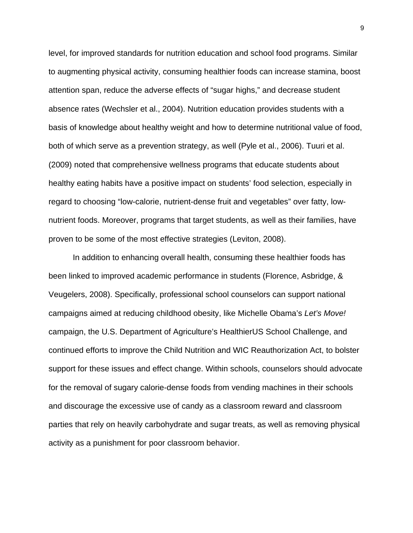level, for improved standards for nutrition education and school food programs. Similar to augmenting physical activity, consuming healthier foods can increase stamina, boost attention span, reduce the adverse effects of "sugar highs," and decrease student absence rates (Wechsler et al., 2004). Nutrition education provides students with a basis of knowledge about healthy weight and how to determine nutritional value of food, both of which serve as a prevention strategy, as well (Pyle et al., 2006). Tuuri et al. (2009) noted that comprehensive wellness programs that educate students about healthy eating habits have a positive impact on students' food selection, especially in regard to choosing "low-calorie, nutrient-dense fruit and vegetables" over fatty, lownutrient foods. Moreover, programs that target students, as well as their families, have proven to be some of the most effective strategies (Leviton, 2008).

In addition to enhancing overall health, consuming these healthier foods has been linked to improved academic performance in students (Florence, Asbridge, & Veugelers, 2008). Specifically, professional school counselors can support national campaigns aimed at reducing childhood obesity, like Michelle Obama's *Let's Move!* campaign, the U.S. Department of Agriculture's HealthierUS School Challenge, and continued efforts to improve the Child Nutrition and WIC Reauthorization Act, to bolster support for these issues and effect change. Within schools, counselors should advocate for the removal of sugary calorie-dense foods from vending machines in their schools and discourage the excessive use of candy as a classroom reward and classroom parties that rely on heavily carbohydrate and sugar treats, as well as removing physical activity as a punishment for poor classroom behavior.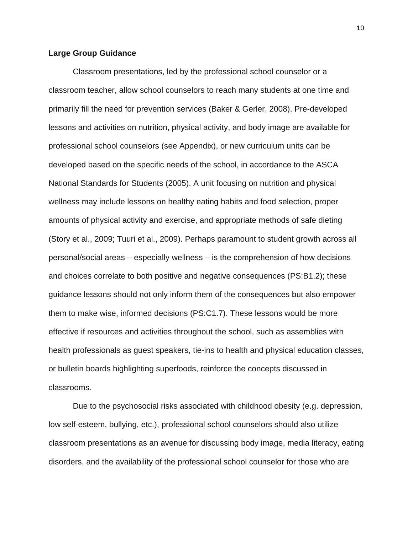#### **Large Group Guidance**

Classroom presentations, led by the professional school counselor or a classroom teacher, allow school counselors to reach many students at one time and primarily fill the need for prevention services (Baker & Gerler, 2008). Pre-developed lessons and activities on nutrition, physical activity, and body image are available for professional school counselors (see Appendix), or new curriculum units can be developed based on the specific needs of the school, in accordance to the ASCA National Standards for Students (2005). A unit focusing on nutrition and physical wellness may include lessons on healthy eating habits and food selection, proper amounts of physical activity and exercise, and appropriate methods of safe dieting (Story et al., 2009; Tuuri et al., 2009). Perhaps paramount to student growth across all personal/social areas – especially wellness – is the comprehension of how decisions and choices correlate to both positive and negative consequences (PS:B1.2); these guidance lessons should not only inform them of the consequences but also empower them to make wise, informed decisions (PS:C1.7). These lessons would be more effective if resources and activities throughout the school, such as assemblies with health professionals as guest speakers, tie-ins to health and physical education classes, or bulletin boards highlighting superfoods, reinforce the concepts discussed in classrooms.

Due to the psychosocial risks associated with childhood obesity (e.g. depression, low self-esteem, bullying, etc.), professional school counselors should also utilize classroom presentations as an avenue for discussing body image, media literacy, eating disorders, and the availability of the professional school counselor for those who are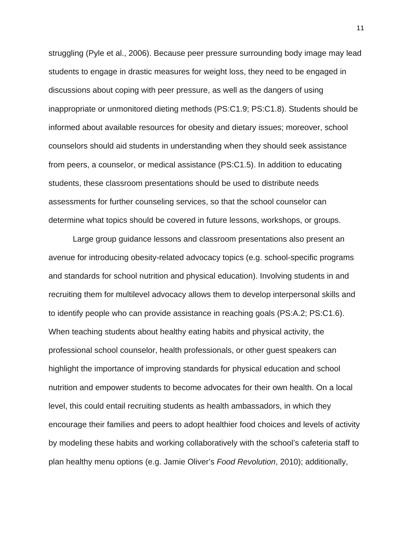struggling (Pyle et al., 2006). Because peer pressure surrounding body image may lead students to engage in drastic measures for weight loss, they need to be engaged in discussions about coping with peer pressure, as well as the dangers of using inappropriate or unmonitored dieting methods (PS:C1.9; PS:C1.8). Students should be informed about available resources for obesity and dietary issues; moreover, school counselors should aid students in understanding when they should seek assistance from peers, a counselor, or medical assistance (PS:C1.5). In addition to educating students, these classroom presentations should be used to distribute needs assessments for further counseling services, so that the school counselor can determine what topics should be covered in future lessons, workshops, or groups.

Large group guidance lessons and classroom presentations also present an avenue for introducing obesity-related advocacy topics (e.g. school-specific programs and standards for school nutrition and physical education). Involving students in and recruiting them for multilevel advocacy allows them to develop interpersonal skills and to identify people who can provide assistance in reaching goals (PS:A.2; PS:C1.6). When teaching students about healthy eating habits and physical activity, the professional school counselor, health professionals, or other guest speakers can highlight the importance of improving standards for physical education and school nutrition and empower students to become advocates for their own health. On a local level, this could entail recruiting students as health ambassadors, in which they encourage their families and peers to adopt healthier food choices and levels of activity by modeling these habits and working collaboratively with the school's cafeteria staff to plan healthy menu options (e.g. Jamie Oliver's *Food Revolution*, 2010); additionally,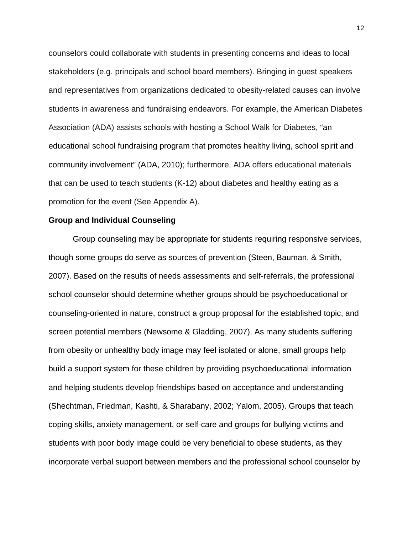counselors could collaborate with students in presenting concerns and ideas to local stakeholders (e.g. principals and school board members). Bringing in guest speakers and representatives from organizations dedicated to obesity-related causes can involve students in awareness and fundraising endeavors. For example, the American Diabetes Association (ADA) assists schools with hosting a School Walk for Diabetes, "an educational school fundraising program that promotes healthy living, school spirit and community involvement" (ADA, 2010); furthermore, ADA offers educational materials that can be used to teach students (K-12) about diabetes and healthy eating as a promotion for the event (See Appendix A).

#### **Group and Individual Counseling**

Group counseling may be appropriate for students requiring responsive services, though some groups do serve as sources of prevention (Steen, Bauman, & Smith, 2007). Based on the results of needs assessments and self-referrals, the professional school counselor should determine whether groups should be psychoeducational or counseling-oriented in nature, construct a group proposal for the established topic, and screen potential members (Newsome & Gladding, 2007). As many students suffering from obesity or unhealthy body image may feel isolated or alone, small groups help build a support system for these children by providing psychoeducational information and helping students develop friendships based on acceptance and understanding (Shechtman, Friedman, Kashti, & Sharabany, 2002; Yalom, 2005). Groups that teach coping skills, anxiety management, or self-care and groups for bullying victims and students with poor body image could be very beneficial to obese students, as they incorporate verbal support between members and the professional school counselor by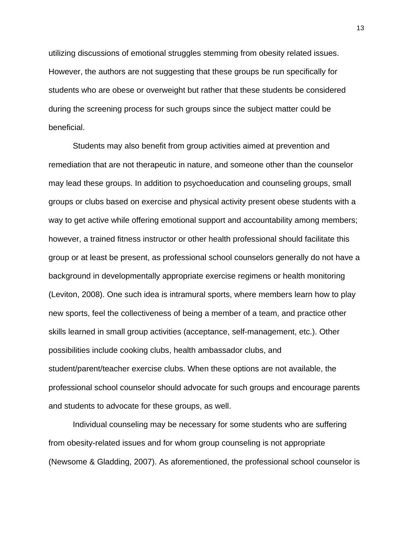utilizing discussions of emotional struggles stemming from obesity related issues. However, the authors are not suggesting that these groups be run specifically for students who are obese or overweight but rather that these students be considered during the screening process for such groups since the subject matter could be beneficial.

Students may also benefit from group activities aimed at prevention and remediation that are not therapeutic in nature, and someone other than the counselor may lead these groups. In addition to psychoeducation and counseling groups, small groups or clubs based on exercise and physical activity present obese students with a way to get active while offering emotional support and accountability among members; however, a trained fitness instructor or other health professional should facilitate this group or at least be present, as professional school counselors generally do not have a background in developmentally appropriate exercise regimens or health monitoring (Leviton, 2008). One such idea is intramural sports, where members learn how to play new sports, feel the collectiveness of being a member of a team, and practice other skills learned in small group activities (acceptance, self-management, etc.). Other possibilities include cooking clubs, health ambassador clubs, and student/parent/teacher exercise clubs. When these options are not available, the professional school counselor should advocate for such groups and encourage parents and students to advocate for these groups, as well.

Individual counseling may be necessary for some students who are suffering from obesity-related issues and for whom group counseling is not appropriate (Newsome & Gladding, 2007). As aforementioned, the professional school counselor is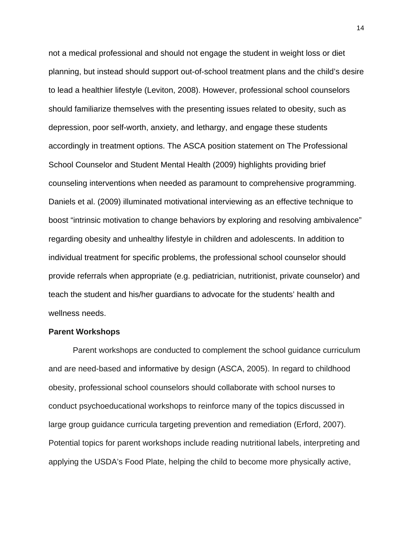not a medical professional and should not engage the student in weight loss or diet planning, but instead should support out-of-school treatment plans and the child's desire to lead a healthier lifestyle (Leviton, 2008). However, professional school counselors should familiarize themselves with the presenting issues related to obesity, such as depression, poor self-worth, anxiety, and lethargy, and engage these students accordingly in treatment options. The ASCA position statement on The Professional School Counselor and Student Mental Health (2009) highlights providing brief counseling interventions when needed as paramount to comprehensive programming. Daniels et al. (2009) illuminated motivational interviewing as an effective technique to boost "intrinsic motivation to change behaviors by exploring and resolving ambivalence" regarding obesity and unhealthy lifestyle in children and adolescents. In addition to individual treatment for specific problems, the professional school counselor should provide referrals when appropriate (e.g. pediatrician, nutritionist, private counselor) and teach the student and his/her guardians to advocate for the students' health and wellness needs.

#### **Parent Workshops**

Parent workshops are conducted to complement the school guidance curriculum and are need-based and informative by design (ASCA, 2005). In regard to childhood obesity, professional school counselors should collaborate with school nurses to conduct psychoeducational workshops to reinforce many of the topics discussed in large group guidance curricula targeting prevention and remediation (Erford, 2007). Potential topics for parent workshops include reading nutritional labels, interpreting and applying the USDA's Food Plate, helping the child to become more physically active,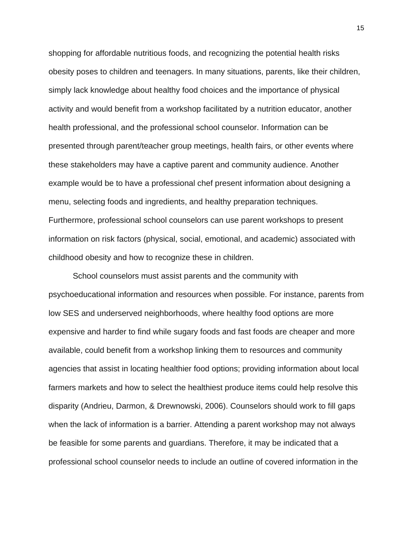shopping for affordable nutritious foods, and recognizing the potential health risks obesity poses to children and teenagers. In many situations, parents, like their children, simply lack knowledge about healthy food choices and the importance of physical activity and would benefit from a workshop facilitated by a nutrition educator, another health professional, and the professional school counselor. Information can be presented through parent/teacher group meetings, health fairs, or other events where these stakeholders may have a captive parent and community audience. Another example would be to have a professional chef present information about designing a menu, selecting foods and ingredients, and healthy preparation techniques. Furthermore, professional school counselors can use parent workshops to present information on risk factors (physical, social, emotional, and academic) associated with childhood obesity and how to recognize these in children.

School counselors must assist parents and the community with psychoeducational information and resources when possible. For instance, parents from low SES and underserved neighborhoods, where healthy food options are more expensive and harder to find while sugary foods and fast foods are cheaper and more available, could benefit from a workshop linking them to resources and community agencies that assist in locating healthier food options; providing information about local farmers markets and how to select the healthiest produce items could help resolve this disparity (Andrieu, Darmon, & Drewnowski, 2006). Counselors should work to fill gaps when the lack of information is a barrier. Attending a parent workshop may not always be feasible for some parents and guardians. Therefore, it may be indicated that a professional school counselor needs to include an outline of covered information in the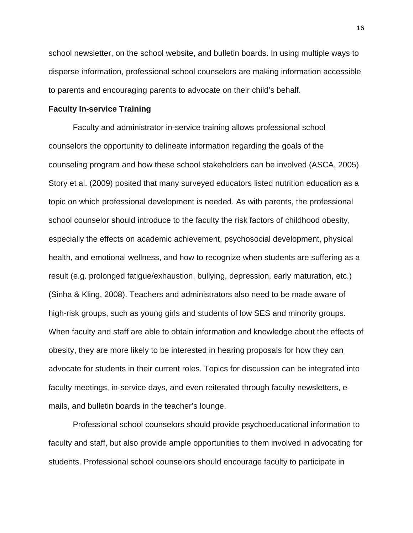school newsletter, on the school website, and bulletin boards. In using multiple ways to disperse information, professional school counselors are making information accessible to parents and encouraging parents to advocate on their child's behalf.

#### **Faculty In-service Training**

Faculty and administrator in-service training allows professional school counselors the opportunity to delineate information regarding the goals of the counseling program and how these school stakeholders can be involved (ASCA, 2005). Story et al. (2009) posited that many surveyed educators listed nutrition education as a topic on which professional development is needed. As with parents, the professional school counselor should introduce to the faculty the risk factors of childhood obesity, especially the effects on academic achievement, psychosocial development, physical health, and emotional wellness, and how to recognize when students are suffering as a result (e.g. prolonged fatigue/exhaustion, bullying, depression, early maturation, etc.) (Sinha & Kling, 2008). Teachers and administrators also need to be made aware of high-risk groups, such as young girls and students of low SES and minority groups. When faculty and staff are able to obtain information and knowledge about the effects of obesity, they are more likely to be interested in hearing proposals for how they can advocate for students in their current roles. Topics for discussion can be integrated into faculty meetings, in-service days, and even reiterated through faculty newsletters, emails, and bulletin boards in the teacher's lounge.

Professional school counselors should provide psychoeducational information to faculty and staff, but also provide ample opportunities to them involved in advocating for students. Professional school counselors should encourage faculty to participate in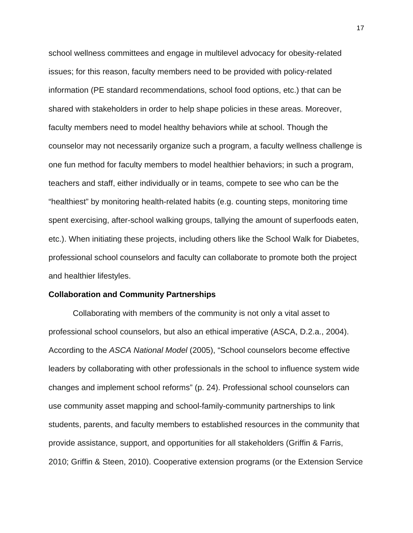school wellness committees and engage in multilevel advocacy for obesity-related issues; for this reason, faculty members need to be provided with policy-related information (PE standard recommendations, school food options, etc.) that can be shared with stakeholders in order to help shape policies in these areas. Moreover, faculty members need to model healthy behaviors while at school. Though the counselor may not necessarily organize such a program, a faculty wellness challenge is one fun method for faculty members to model healthier behaviors; in such a program, teachers and staff, either individually or in teams, compete to see who can be the "healthiest" by monitoring health-related habits (e.g. counting steps, monitoring time spent exercising, after-school walking groups, tallying the amount of superfoods eaten, etc.). When initiating these projects, including others like the School Walk for Diabetes, professional school counselors and faculty can collaborate to promote both the project and healthier lifestyles.

#### **Collaboration and Community Partnerships**

Collaborating with members of the community is not only a vital asset to professional school counselors, but also an ethical imperative (ASCA, D.2.a., 2004). According to the *ASCA National Model* (2005), "School counselors become effective leaders by collaborating with other professionals in the school to influence system wide changes and implement school reforms" (p. 24). Professional school counselors can use community asset mapping and school-family-community partnerships to link students, parents, and faculty members to established resources in the community that provide assistance, support, and opportunities for all stakeholders (Griffin & Farris, 2010; Griffin & Steen, 2010). Cooperative extension programs (or the Extension Service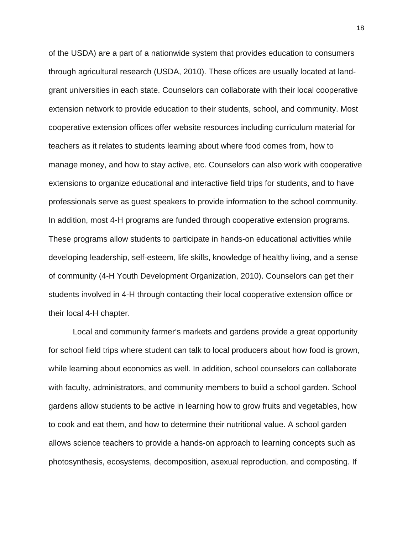of the USDA) are a part of a nationwide system that provides education to consumers through agricultural research (USDA, 2010). These offices are usually located at landgrant universities in each state. Counselors can collaborate with their local cooperative extension network to provide education to their students, school, and community. Most cooperative extension offices offer website resources including curriculum material for teachers as it relates to students learning about where food comes from, how to manage money, and how to stay active, etc. Counselors can also work with cooperative extensions to organize educational and interactive field trips for students, and to have professionals serve as guest speakers to provide information to the school community. In addition, most 4-H programs are funded through cooperative extension programs. These programs allow students to participate in hands-on educational activities while developing leadership, self-esteem, life skills, knowledge of healthy living, and a sense of community (4-H Youth Development Organization, 2010). Counselors can get their students involved in 4-H through contacting their local cooperative extension office or their local 4-H chapter.

Local and community farmer's markets and gardens provide a great opportunity for school field trips where student can talk to local producers about how food is grown, while learning about economics as well. In addition, school counselors can collaborate with faculty, administrators, and community members to build a school garden. School gardens allow students to be active in learning how to grow fruits and vegetables, how to cook and eat them, and how to determine their nutritional value. A school garden allows science teachers to provide a hands-on approach to learning concepts such as photosynthesis, ecosystems, decomposition, asexual reproduction, and composting. If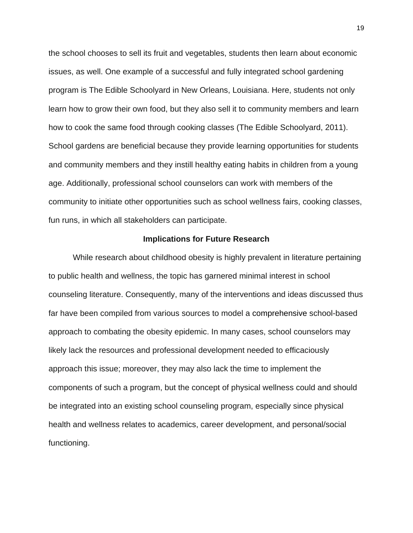the school chooses to sell its fruit and vegetables, students then learn about economic issues, as well. One example of a successful and fully integrated school gardening program is The Edible Schoolyard in New Orleans, Louisiana. Here, students not only learn how to grow their own food, but they also sell it to community members and learn how to cook the same food through cooking classes (The Edible Schoolyard, 2011). School gardens are beneficial because they provide learning opportunities for students and community members and they instill healthy eating habits in children from a young age. Additionally, professional school counselors can work with members of the community to initiate other opportunities such as school wellness fairs, cooking classes, fun runs, in which all stakeholders can participate.

#### **Implications for Future Research**

While research about childhood obesity is highly prevalent in literature pertaining to public health and wellness, the topic has garnered minimal interest in school counseling literature. Consequently, many of the interventions and ideas discussed thus far have been compiled from various sources to model a comprehensive school-based approach to combating the obesity epidemic. In many cases, school counselors may likely lack the resources and professional development needed to efficaciously approach this issue; moreover, they may also lack the time to implement the components of such a program, but the concept of physical wellness could and should be integrated into an existing school counseling program, especially since physical health and wellness relates to academics, career development, and personal/social functioning.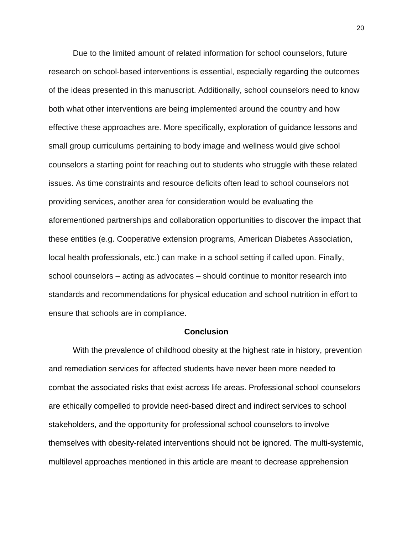Due to the limited amount of related information for school counselors, future research on school-based interventions is essential, especially regarding the outcomes of the ideas presented in this manuscript. Additionally, school counselors need to know both what other interventions are being implemented around the country and how effective these approaches are. More specifically, exploration of guidance lessons and small group curriculums pertaining to body image and wellness would give school counselors a starting point for reaching out to students who struggle with these related issues. As time constraints and resource deficits often lead to school counselors not providing services, another area for consideration would be evaluating the aforementioned partnerships and collaboration opportunities to discover the impact that these entities (e.g. Cooperative extension programs, American Diabetes Association, local health professionals, etc.) can make in a school setting if called upon. Finally, school counselors – acting as advocates – should continue to monitor research into standards and recommendations for physical education and school nutrition in effort to ensure that schools are in compliance.

## **Conclusion**

With the prevalence of childhood obesity at the highest rate in history, prevention and remediation services for affected students have never been more needed to combat the associated risks that exist across life areas. Professional school counselors are ethically compelled to provide need-based direct and indirect services to school stakeholders, and the opportunity for professional school counselors to involve themselves with obesity-related interventions should not be ignored. The multi-systemic, multilevel approaches mentioned in this article are meant to decrease apprehension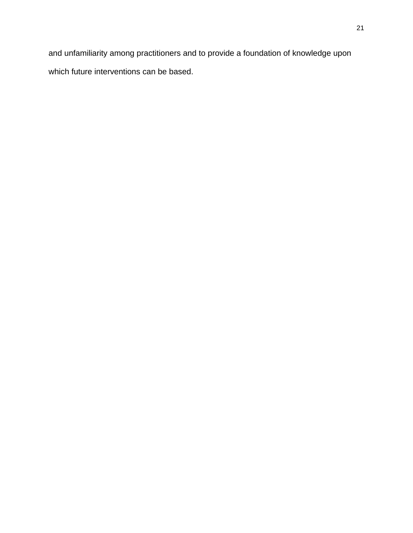and unfamiliarity among practitioners and to provide a foundation of knowledge upon which future interventions can be based.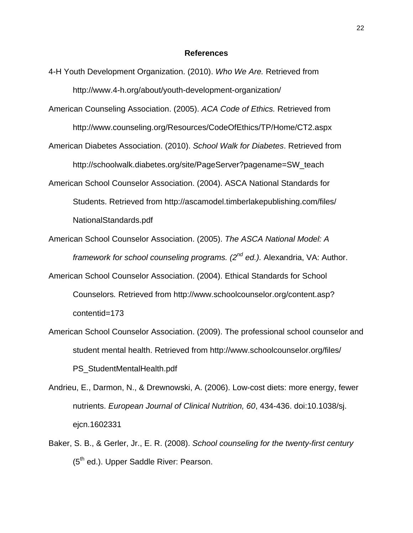#### **References**

- 4-H Youth Development Organization. (2010). *Who We Are.* Retrieved from http://www.4-h.org/about/youth-development-organization/
- American Counseling Association. (2005). *ACA Code of Ethics.* Retrieved from http://www.counseling.org/Resources/CodeOfEthics/TP/Home/CT2.aspx
- American Diabetes Association. (2010). *School Walk for Diabetes*. Retrieved from http://schoolwalk.diabetes.org/site/PageServer?pagename=SW\_teach
- American School Counselor Association. (2004). ASCA National Standards for Students. Retrieved from http://ascamodel.timberlakepublishing.com/files/ NationalStandards.pdf
- American School Counselor Association. (2005). *The ASCA National Model: A framework for school counseling programs. (2nd ed.).* Alexandria, VA: Author.
- American School Counselor Association. (2004). Ethical Standards for School Counselors*.* Retrieved from http://www.schoolcounselor.org/content.asp? contentid=173
- American School Counselor Association. (2009). The professional school counselor and student mental health. Retrieved from http://www.schoolcounselor.org/files/ PS\_StudentMentalHealth.pdf
- Andrieu, E., Darmon, N., & Drewnowski, A. (2006). Low-cost diets: more energy, fewer nutrients. *European Journal of Clinical Nutrition, 60*, 434-436. doi:10.1038/sj. ejcn.1602331
- Baker, S. B., & Gerler, Jr., E. R. (2008). *School counseling for the twenty-first century*  (5<sup>th</sup> ed.). Upper Saddle River: Pearson.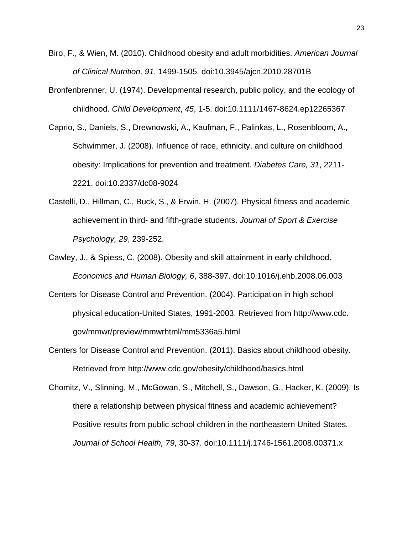- Biro, F., & Wien, M. (2010). Childhood obesity and adult morbidities. *American Journal of Clinical Nutrition, 91*, 1499-1505. doi:10.3945/ajcn.2010.28701B
- Bronfenbrenner, U. (1974). Developmental research, public policy, and the ecology of childhood. *Child Development*, *45*, 1-5. doi:10.1111/1467-8624.ep12265367
- Caprio, S., Daniels, S., Drewnowski, A., Kaufman, F., Palinkas, L., Rosenbloom, A., Schwimmer, J. (2008). Influence of race, ethnicity, and culture on childhood obesity: Implications for prevention and treatment. *Diabetes Care, 31*, 2211- 2221. doi:10.2337/dc08-9024
- Castelli, D., Hillman, C., Buck, S., & Erwin, H. (2007). Physical fitness and academic achievement in third- and fifth-grade students. *Journal of Sport & Exercise Psychology, 29*, 239-252.
- Cawley, J., & Spiess, C. (2008). Obesity and skill attainment in early childhood. *Economics and Human Biology, 6*, 388-397. doi:10.1016/j.ehb.2008.06.003
- Centers for Disease Control and Prevention. (2004). Participation in high school physical education-United States, 1991-2003. Retrieved from http://www.cdc. gov/mmwr/preview/mmwrhtml/mm5336a5.html
- Centers for Disease Control and Prevention. (2011). Basics about childhood obesity. Retrieved from http://www.cdc.gov/obesity/childhood/basics.html
- Chomitz, V., Slinning, M., McGowan, S., Mitchell, S., Dawson, G., Hacker, K. (2009). Is there a relationship between physical fitness and academic achievement? Positive results from public school children in the northeastern United States*. Journal of School Health, 79*, 30-37. doi:10.1111/j.1746-1561.2008.00371.x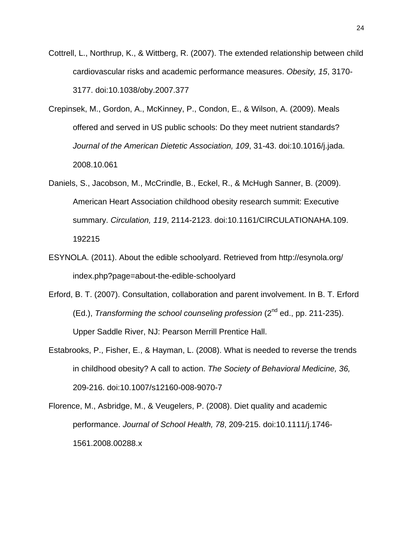- Cottrell, L., Northrup, K., & Wittberg, R. (2007). The extended relationship between child cardiovascular risks and academic performance measures. *Obesity, 15*, 3170- 3177. doi:10.1038/oby.2007.377
- Crepinsek, M., Gordon, A., McKinney, P., Condon, E., & Wilson, A. (2009). Meals offered and served in US public schools: Do they meet nutrient standards? *Journal of the American Dietetic Association, 109*, 31-43. doi:10.1016/j.jada. 2008.10.061
- Daniels, S., Jacobson, M., McCrindle, B., Eckel, R., & McHugh Sanner, B. (2009). American Heart Association childhood obesity research summit: Executive summary. *Circulation, 119*, 2114-2123. doi:10.1161/CIRCULATIONAHA.109. 192215
- ESYNOLA. (2011). About the edible schoolyard. Retrieved from http://esynola.org/ index.php?page=about-the-edible-schoolyard
- Erford, B. T. (2007). Consultation, collaboration and parent involvement. In B. T. Erford (Ed.), *Transforming the school counseling profession* (2<sup>nd</sup> ed., pp. 211-235). Upper Saddle River, NJ: Pearson Merrill Prentice Hall.
- Estabrooks, P., Fisher, E., & Hayman, L. (2008). What is needed to reverse the trends in childhood obesity? A call to action. *The Society of Behavioral Medicine, 36,*  209-216. doi:10.1007/s12160-008-9070-7
- Florence, M., Asbridge, M., & Veugelers, P. (2008). Diet quality and academic performance. *Journal of School Health, 78*, 209-215. doi:10.1111/j.1746- 1561.2008.00288.x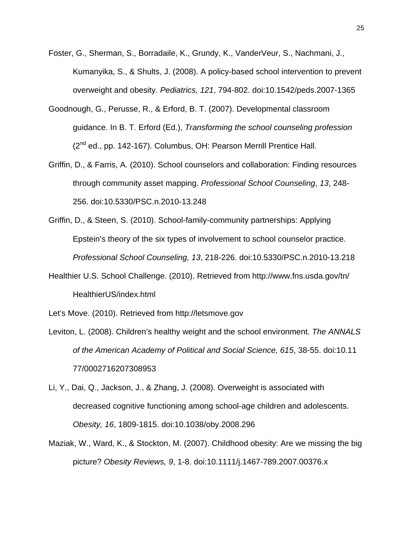- Foster, G., Sherman, S., Borradaile, K., Grundy, K., VanderVeur, S., Nachmani, J., Kumanyika, S., & Shults, J. (2008). A policy-based school intervention to prevent overweight and obesity. *Pediatrics, 121*, 794-802. doi:10.1542/peds.2007-1365
- Goodnough, G., Perusse, R., & Erford, B. T. (2007). Developmental classroom guidance. In B. T. Erford (Ed.), *Transforming the school counseling profession* (2<sup>nd</sup> ed., pp. 142-167). Columbus, OH: Pearson Merrill Prentice Hall.
- Griffin, D., & Farris, A. (2010). School counselors and collaboration: Finding resources through community asset mapping. *Professional School Counseling*, *13*, 248- 256. doi:10.5330/PSC.n.2010-13.248
- Griffin, D., & Steen, S. (2010). School-family-community partnerships: Applying Epstein's theory of the six types of involvement to school counselor practice. *Professional School Counseling, 13*, 218-226. doi:10.5330/PSC.n.2010-13.218
- Healthier U.S. School Challenge. (2010). Retrieved from http://www.fns.usda.gov/tn/ HealthierUS/index.html

Let's Move. (2010). Retrieved from http://letsmove.gov

- Leviton, L. (2008). Children's healthy weight and the school environment. *The ANNALS of the American Academy of Political and Social Science, 615*, 38-55. doi:10.11 77/0002716207308953
- Li, Y., Dai, Q., Jackson, J., & Zhang, J. (2008). Overweight is associated with decreased cognitive functioning among school-age children and adolescents. *Obesity, 16*, 1809-1815. doi:10.1038/oby.2008.296
- Maziak, W., Ward, K., & Stockton, M. (2007). Childhood obesity: Are we missing the big picture? *Obesity Reviews, 9*, 1-8. doi:10.1111/j.1467-789.2007.00376.x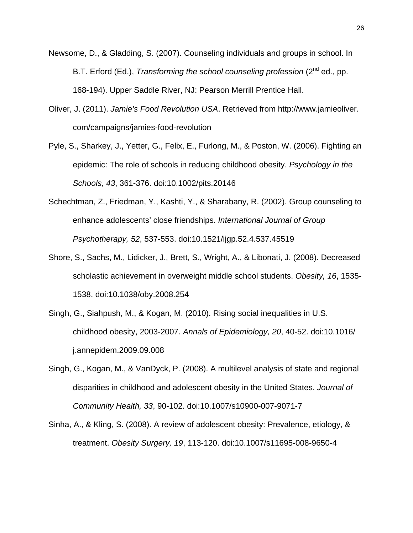- Newsome, D., & Gladding, S. (2007). Counseling individuals and groups in school. In B.T. Erford (Ed.), *Transforming the school counseling profession* (2<sup>nd</sup> ed., pp. 168-194). Upper Saddle River, NJ: Pearson Merrill Prentice Hall.
- Oliver, J. (2011). *Jamie's Food Revolution USA*. Retrieved from http://www.jamieoliver. com/campaigns/jamies-food-revolution
- Pyle, S., Sharkey, J., Yetter, G., Felix, E., Furlong, M., & Poston, W. (2006). Fighting an epidemic: The role of schools in reducing childhood obesity. *Psychology in the Schools, 43*, 361-376. doi:10.1002/pits.20146
- Schechtman, Z., Friedman, Y., Kashti, Y., & Sharabany, R. (2002). Group counseling to enhance adolescents' close friendships. *International Journal of Group Psychotherapy, 52*, 537-553. doi:10.1521/ijgp.52.4.537.45519
- Shore, S., Sachs, M., Lidicker, J., Brett, S., Wright, A., & Libonati, J. (2008). Decreased scholastic achievement in overweight middle school students. *Obesity, 16*, 1535- 1538. doi:10.1038/oby.2008.254
- Singh, G., Siahpush, M., & Kogan, M. (2010). Rising social inequalities in U.S. childhood obesity, 2003-2007. *Annals of Epidemiology, 20*, 40-52. doi:10.1016/ j.annepidem.2009.09.008
- Singh, G., Kogan, M., & VanDyck, P. (2008). A multilevel analysis of state and regional disparities in childhood and adolescent obesity in the United States. *Journal of Community Health, 33*, 90-102. doi:10.1007/s10900-007-9071-7
- Sinha, A., & Kling, S. (2008). A review of adolescent obesity: Prevalence, etiology, & treatment. *Obesity Surgery, 19*, 113-120. doi:10.1007/s11695-008-9650-4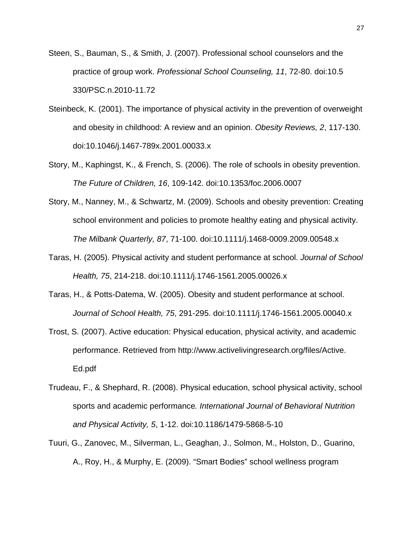- Steen, S., Bauman, S., & Smith, J. (2007). Professional school counselors and the practice of group work. *Professional School Counseling, 11*, 72-80. doi:10.5 330/PSC.n.2010-11.72
- Steinbeck, K. (2001). The importance of physical activity in the prevention of overweight and obesity in childhood: A review and an opinion. *Obesity Reviews, 2*, 117-130. doi:10.1046/j.1467-789x.2001.00033.x
- Story, M., Kaphingst, K., & French, S. (2006). The role of schools in obesity prevention. *The Future of Children, 16*, 109-142. doi:10.1353/foc.2006.0007
- Story, M., Nanney, M., & Schwartz, M. (2009). Schools and obesity prevention: Creating school environment and policies to promote healthy eating and physical activity. *The Milbank Quarterly, 87*, 71-100. doi:10.1111/j.1468-0009.2009.00548.x
- Taras, H. (2005). Physical activity and student performance at school. *Journal of School Health, 75*, 214-218. doi:10.1111/j.1746-1561.2005.00026.x
- Taras, H., & Potts-Datema, W. (2005). Obesity and student performance at school. *Journal of School Health, 75*, 291-295. doi:10.1111/j.1746-1561.2005.00040.x
- Trost, S. (2007). Active education: Physical education, physical activity, and academic performance. Retrieved from http://www.activelivingresearch.org/files/Active. Ed.pdf
- Trudeau, F., & Shephard, R. (2008). Physical education, school physical activity, school sports and academic performance*. International Journal of Behavioral Nutrition and Physical Activity, 5*, 1-12. doi:10.1186/1479-5868-5-10
- Tuuri, G., Zanovec, M., Silverman, L., Geaghan, J., Solmon, M., Holston, D., Guarino, A., Roy, H., & Murphy, E. (2009). "Smart Bodies" school wellness program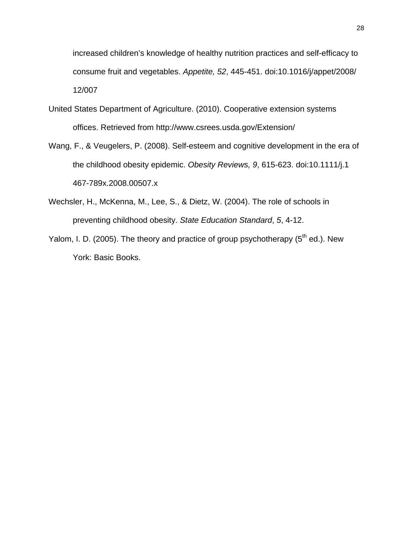increased children's knowledge of healthy nutrition practices and self-efficacy to consume fruit and vegetables. *Appetite, 52*, 445-451. doi:10.1016/j/appet/2008/ 12/007

- United States Department of Agriculture. (2010). Cooperative extension systems offices. Retrieved from http://www.csrees.usda.gov/Extension/
- Wang, F., & Veugelers, P. (2008). Self-esteem and cognitive development in the era of the childhood obesity epidemic. *Obesity Reviews, 9*, 615-623. doi:10.1111/j.1 467-789x.2008.00507.x
- Wechsler, H., McKenna, M., Lee, S., & Dietz, W. (2004). The role of schools in preventing childhood obesity. *State Education Standard*, *5*, 4-12.
- Yalom, I. D. (2005). The theory and practice of group psychotherapy  $(5<sup>th</sup>$  ed.). New York: Basic Books.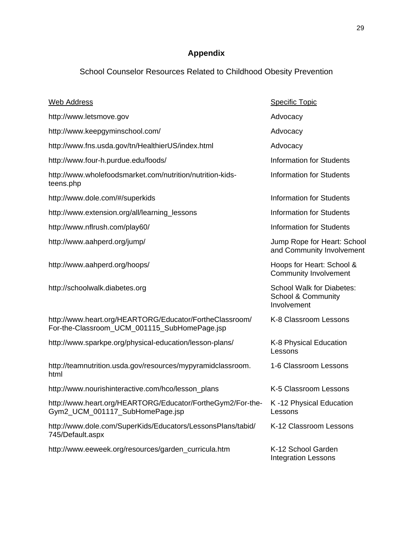# **Appendix**

# School Counselor Resources Related to Childhood Obesity Prevention

| <b>Web Address</b>                                                                                      | <b>Specific Topic</b>                                                            |
|---------------------------------------------------------------------------------------------------------|----------------------------------------------------------------------------------|
| http://www.letsmove.gov                                                                                 | Advocacy                                                                         |
| http://www.keepgyminschool.com/                                                                         | Advocacy                                                                         |
| http://www.fns.usda.gov/tn/HealthierUS/index.html                                                       | Advocacy                                                                         |
| http://www.four-h.purdue.edu/foods/                                                                     | <b>Information for Students</b>                                                  |
| http://www.wholefoodsmarket.com/nutrition/nutrition-kids-<br>teens.php                                  | <b>Information for Students</b>                                                  |
| http://www.dole.com/#/superkids                                                                         | <b>Information for Students</b>                                                  |
| http://www.extension.org/all/learning_lessons                                                           | <b>Information for Students</b>                                                  |
| http://www.nflrush.com/play60/                                                                          | <b>Information for Students</b>                                                  |
| http://www.aahperd.org/jump/                                                                            | Jump Rope for Heart: School<br>and Community Involvement                         |
| http://www.aahperd.org/hoops/                                                                           | Hoops for Heart: School &<br><b>Community Involvement</b>                        |
| http://schoolwalk.diabetes.org                                                                          | <b>School Walk for Diabetes:</b><br><b>School &amp; Community</b><br>Involvement |
| http://www.heart.org/HEARTORG/Educator/FortheClassroom/<br>For-the-Classroom_UCM_001115_SubHomePage.jsp | K-8 Classroom Lessons                                                            |
| http://www.sparkpe.org/physical-education/lesson-plans/                                                 | K-8 Physical Education<br>Lessons                                                |
| http://teamnutrition.usda.gov/resources/mypyramidclassroom.<br>html                                     | 1-6 Classroom Lessons                                                            |
| http://www.nourishinteractive.com/hco/lesson_plans                                                      | K-5 Classroom Lessons                                                            |
| http://www.heart.org/HEARTORG/Educator/FortheGym2/For-the-<br>Gym2_UCM_001117_SubHomePage.jsp           | K-12 Physical Education<br>Lessons                                               |
| http://www.dole.com/SuperKids/Educators/LessonsPlans/tabid/<br>745/Default.aspx                         | K-12 Classroom Lessons                                                           |
| http://www.eeweek.org/resources/garden_curricula.htm                                                    | K-12 School Garden<br><b>Integration Lessons</b>                                 |